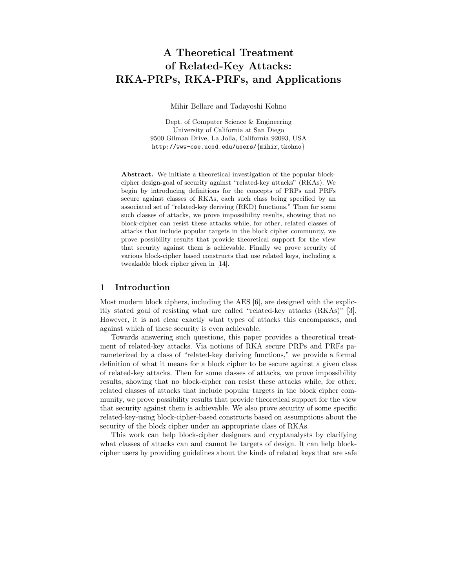# A Theoretical Treatment of Related-Key Attacks: RKA-PRPs, RKA-PRFs, and Applications

Mihir Bellare and Tadayoshi Kohno

Dept. of Computer Science & Engineering University of California at San Diego 9500 Gilman Drive, La Jolla, California 92093, USA http://www-cse.ucsd.edu/users/{mihir, tkohno}

Abstract. We initiate a theoretical investigation of the popular blockcipher design-goal of security against "related-key attacks" (RKAs). We begin by introducing definitions for the concepts of PRPs and PRFs secure against classes of RKAs, each such class being specified by an associated set of "related-key deriving (RKD) functions." Then for some such classes of attacks, we prove impossibility results, showing that no block-cipher can resist these attacks while, for other, related classes of attacks that include popular targets in the block cipher community, we prove possibility results that provide theoretical support for the view that security against them is achievable. Finally we prove security of various block-cipher based constructs that use related keys, including a tweakable block cipher given in [14].

### 1 Introduction

Most modern block ciphers, including the AES [6], are designed with the explicitly stated goal of resisting what are called "related-key attacks (RKAs)" [3]. However, it is not clear exactly what types of attacks this encompasses, and against which of these security is even achievable.

Towards answering such questions, this paper provides a theoretical treatment of related-key attacks. Via notions of RKA secure PRPs and PRFs parameterized by a class of "related-key deriving functions," we provide a formal definition of what it means for a block cipher to be secure against a given class of related-key attacks. Then for some classes of attacks, we prove impossibility results, showing that no block-cipher can resist these attacks while, for other, related classes of attacks that include popular targets in the block cipher community, we prove possibility results that provide theoretical support for the view that security against them is achievable. We also prove security of some specific related-key-using block-cipher-based constructs based on assumptions about the security of the block cipher under an appropriate class of RKAs.

This work can help block-cipher designers and cryptanalysts by clarifying what classes of attacks can and cannot be targets of design. It can help blockcipher users by providing guidelines about the kinds of related keys that are safe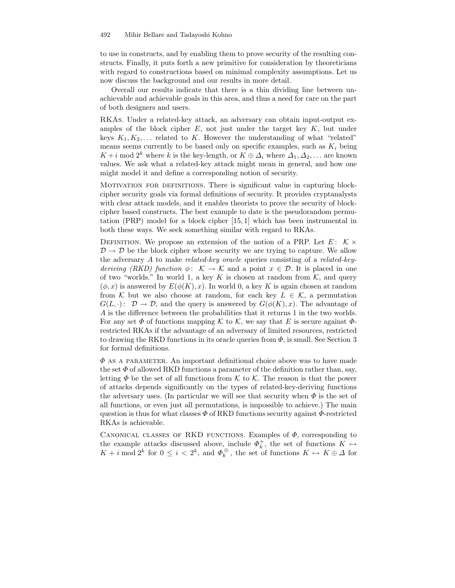#### 492 Mihir Bellare and Tadayoshi Kohno

to use in constructs, and by enabling them to prove security of the resulting constructs. Finally, it puts forth a new primitive for consideration by theoreticians with regard to constructions based on minimal complexity assumptions. Let us now discuss the background and our results in more detail.

Overall our results indicate that there is a thin dividing line between unachievable and achievable goals in this area, and thus a need for care on the part of both designers and users.

RKAs. Under a related-key attack, an adversary can obtain input-output examples of the block cipher  $E$ , not just under the target key  $K$ , but under keys  $K_1, K_2, \ldots$  related to K. However the understanding of what "related" means seems currently to be based only on specific examples, such as  $K_i$  being  $K + i \mod 2^k$  where k is the key-length, or  $K \oplus \Delta_i$  where  $\Delta_1, \Delta_2, \ldots$  are known values. We ask what a related-key attack might mean in general, and how one might model it and define a corresponding notion of security.

Motivation for definitions. There is significant value in capturing blockcipher security goals via formal definitions of security. It provides cryptanalysts with clear attack models, and it enables theorists to prove the security of blockcipher based constructs. The best example to date is the pseudorandom permutation (PRP) model for a block cipher [15, 1] which has been instrumental in both these ways. We seek something similar with regard to RKAs.

DEFINITION. We propose an extension of the notion of a PRP. Let  $E: K \times$  $\mathcal{D} \rightarrow \mathcal{D}$  be the block cipher whose security we are trying to capture. We allow the adversary A to make related-key oracle queries consisting of a related-keyderiving (RKD) function  $\phi: \mathcal{K} \to \mathcal{K}$  and a point  $x \in \mathcal{D}$ . It is placed in one of two "worlds." In world 1, a key K is chosen at random from  $K$ , and query  $(\phi, x)$  is answered by  $E(\phi(K), x)$ . In world 0, a key K is again chosen at random from K but we also choose at random, for each key  $L \in \mathcal{K}$ , a permutation  $G(L, \cdot): \mathcal{D} \to \mathcal{D}$ , and the query is answered by  $G(\phi(K), x)$ . The advantage of A is the difference between the probabilities that it returns 1 in the two worlds. For any set  $\Phi$  of functions mapping K to K, we say that E is secure against  $\Phi$ restricted RKAs if the advantage of an adversary of limited resources, restricted to drawing the RKD functions in its oracle queries from  $\Phi$ , is small. See Section 3 for formal definitions.

 $\Phi$  AS A PARAMETER. An important definitional choice above was to have made the set  $\Phi$  of allowed RKD functions a parameter of the definition rather than, say, letting  $\Phi$  be the set of all functions from K to K. The reason is that the power of attacks depends significantly on the types of related-key-deriving functions the adversary uses. (In particular we will see that security when  $\Phi$  is the set of all functions, or even just all permutations, is impossible to achieve.) The main question is thus for what classes  $\Phi$  of RKD functions security against  $\Phi$ -restricted RKAs is achievable.

CANONICAL CLASSES OF RKD FUNCTIONS. Examples of  $\Phi$ , corresponding to the example attacks discussed above, include  $\Phi_k^+$ , the set of functions  $K \mapsto$ the example attacks discussed above, include  $\Psi_k$ , the set of functions  $K \mapsto K + i$  mod  $2^k$  for  $0 \le i < 2^k$ , and  $\Phi_k^{\oplus}$ , the set of functions  $K \mapsto K \oplus \Delta$  for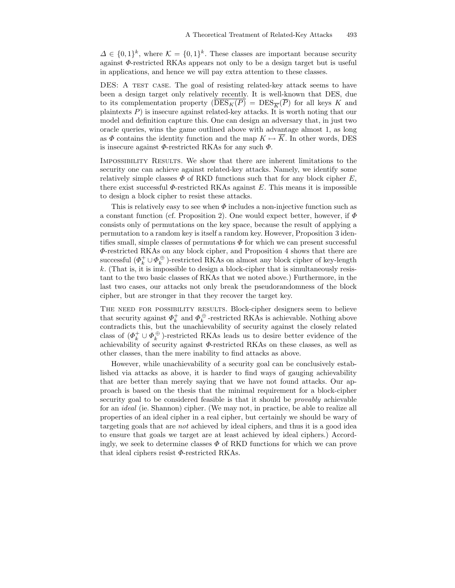$\Delta \in \{0,1\}^k$ , where  $\mathcal{K} = \{0,1\}^k$ . These classes are important because security against Φ-restricted RKAs appears not only to be a design target but is useful in applications, and hence we will pay extra attention to these classes.

DES: A TEST CASE. The goal of resisting related-key attack seems to have been a design target only relatively recently. It is well-known that DES, due to its complementation property  $(\overline{\mathrm{DES}_{K}(P)} = \mathrm{DES}_{\overline{K}}(\overline{P})$  for all keys K and plaintexts P) is insecure against related-key attacks. It is worth noting that our model and definition capture this. One can design an adversary that, in just two oracle queries, wins the game outlined above with advantage almost 1, as long as  $\Phi$  contains the identity function and the map  $K \mapsto \overline{K}$ . In other words, DES is insecure against  $\Phi$ -restricted RKAs for any such  $\Phi$ .

Impossibility Results. We show that there are inherent limitations to the security one can achieve against related-key attacks. Namely, we identify some relatively simple classes  $\Phi$  of RKD functions such that for any block cipher E, there exist successful  $\Phi$ -restricted RKAs against E. This means it is impossible to design a block cipher to resist these attacks.

This is relatively easy to see when  $\Phi$  includes a non-injective function such as a constant function (cf. Proposition 2). One would expect better, however, if  $\Phi$ consists only of permutations on the key space, because the result of applying a permutation to a random key is itself a random key. However, Proposition 3 identifies small, simple classes of permutations  $\Phi$  for which we can present successful Φ-restricted RKAs on any block cipher, and Proposition 4 shows that there are successful  $(\varPhi_k^+\cup \varPhi_k^{\,\oplus}$  )-restricted RKAs on almost any block cipher of key-length k. (That is, it is impossible to design a block-cipher that is simultaneously resistant to the two basic classes of RKAs that we noted above.) Furthermore, in the last two cases, our attacks not only break the pseudorandomness of the block cipher, but are stronger in that they recover the target key.

THE NEED FOR POSSIBILITY RESULTS. Block-cipher designers seem to believe that security against  $\Phi_k^+$  and  $\Phi_k^{\oplus}$ -restricted RKAs is achievable. Nothing above contradicts this, but the unachievability of security against the closely related class of  $(\Phi_k^+ \cup \Phi_k^+ )$ -restricted RKAs leads us to desire better evidence of the achievability of security against  $\Phi$ -restricted RKAs on these classes, as well as other classes, than the mere inability to find attacks as above.

However, while unachievability of a security goal can be conclusively established via attacks as above, it is harder to find ways of gauging achievability that are better than merely saying that we have not found attacks. Our approach is based on the thesis that the minimal requirement for a block-cipher security goal to be considered feasible is that it should be provably achievable for an ideal (ie. Shannon) cipher. (We may not, in practice, be able to realize all properties of an ideal cipher in a real cipher, but certainly we should be wary of targeting goals that are not achieved by ideal ciphers, and thus it is a good idea to ensure that goals we target are at least achieved by ideal ciphers.) Accordingly, we seek to determine classes  $\Phi$  of RKD functions for which we can prove that ideal ciphers resist  $\Phi$ -restricted RKAs.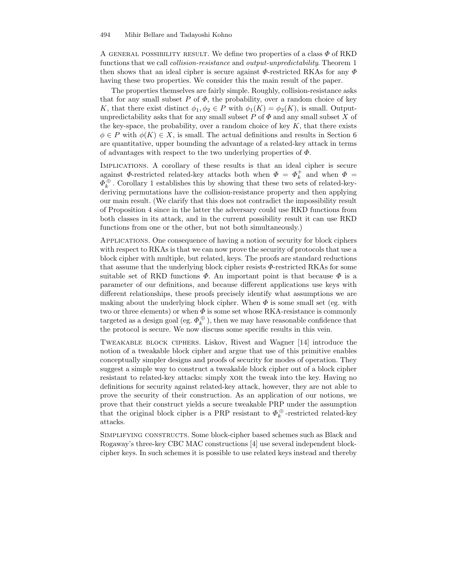A GENERAL POSSIBILITY RESULT. We define two properties of a class  $\Phi$  of RKD functions that we call collision-resistance and output-unpredictability. Theorem 1 then shows that an ideal cipher is secure against  $\Phi$ -restricted RKAs for any  $\Phi$ having these two properties. We consider this the main result of the paper.

The properties themselves are fairly simple. Roughly, collision-resistance asks that for any small subset P of  $\Phi$ , the probability, over a random choice of key K, that there exist distinct  $\phi_1, \phi_2 \in P$  with  $\phi_1(K) = \phi_2(K)$ , is small. Outputunpredictability asks that for any small subset  $P$  of  $\Phi$  and any small subset X of the key-space, the probability, over a random choice of key  $K$ , that there exists  $\phi \in P$  with  $\phi(K) \in X$ , is small. The actual definitions and results in Section 6 are quantitative, upper bounding the advantage of a related-key attack in terms of advantages with respect to the two underlying properties of  $\Phi$ .

Implications. A corollary of these results is that an ideal cipher is secure against  $\Phi$ -restricted related-key attacks both when  $\Phi = \Phi_k^+$  and when  $\Phi =$  $\varPhi_k^{\,\oplus}$  . Corollary 1 establishes this by showing that these two sets of related-keyderiving permutations have the collision-resistance property and then applying our main result. (We clarify that this does not contradict the impossibility result of Proposition 4 since in the latter the adversary could use RKD functions from both classes in its attack, and in the current possibility result it can use RKD functions from one or the other, but not both simultaneously.)

Applications. One consequence of having a notion of security for block ciphers with respect to RKAs is that we can now prove the security of protocols that use a block cipher with multiple, but related, keys. The proofs are standard reductions that assume that the underlying block cipher resists  $\Phi$ -restricted RKAs for some suitable set of RKD functions  $\Phi$ . An important point is that because  $\Phi$  is a parameter of our definitions, and because different applications use keys with different relationships, these proofs precisely identify what assumptions we are making about the underlying block cipher. When  $\Phi$  is some small set (eg. with two or three elements) or when  $\Phi$  is some set whose RKA-resistance is commonly targeted as a design goal (eg.  $\varPhi_k^{\,\oplus}$ ), then we may have reasonable confidence that the protocol is secure. We now discuss some specific results in this vein.

Tweakable block ciphers. Liskov, Rivest and Wagner [14] introduce the notion of a tweakable block cipher and argue that use of this primitive enables conceptually simpler designs and proofs of security for modes of operation. They suggest a simple way to construct a tweakable block cipher out of a block cipher resistant to related-key attacks: simply XOR the tweak into the key. Having no definitions for security against related-key attack, however, they are not able to prove the security of their construction. As an application of our notions, we prove that their construct yields a secure tweakable PRP under the assumption that the original block cipher is a PRP resistant to  $\Phi_k^{\oplus}$ -restricted related-key attacks.

Simplifying constructs. Some block-cipher based schemes such as Black and Rogaway's three-key CBC MAC constructions [4] use several independent blockcipher keys. In such schemes it is possible to use related keys instead and thereby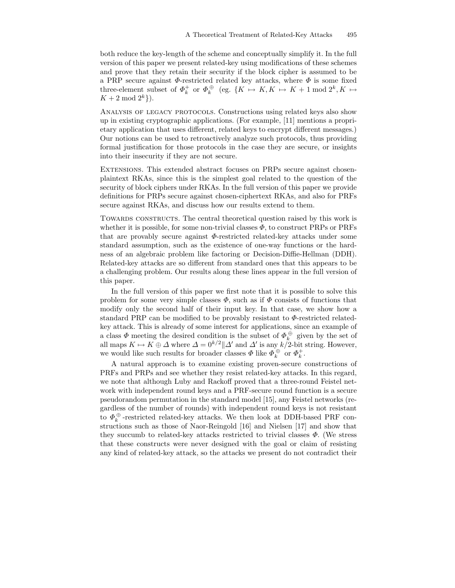both reduce the key-length of the scheme and conceptually simplify it. In the full version of this paper we present related-key using modifications of these schemes and prove that they retain their security if the block cipher is assumed to be a PRP secure against  $\Phi$ -restricted related key attacks, where  $\Phi$  is some fixed three-element subset of  $\Phi_k^+$  or  $\Phi_k^{\oplus}$  (eg.  $\{K \mapsto K, K \mapsto K + 1 \bmod 2^k, K \mapsto$  $K + 2 \mod 2^k$ .

Analysis of legacy protocols. Constructions using related keys also show up in existing cryptographic applications. (For example, [11] mentions a proprietary application that uses different, related keys to encrypt different messages.) Our notions can be used to retroactively analyze such protocols, thus providing formal justification for those protocols in the case they are secure, or insights into their insecurity if they are not secure.

Extensions. This extended abstract focuses on PRPs secure against chosenplaintext RKAs, since this is the simplest goal related to the question of the security of block ciphers under RKAs. In the full version of this paper we provide definitions for PRPs secure against chosen-ciphertext RKAs, and also for PRFs secure against RKAs, and discuss how our results extend to them.

Towards constructs. The central theoretical question raised by this work is whether it is possible, for some non-trivial classes  $\Phi$ , to construct PRPs or PRFs that are provably secure against  $\Phi$ -restricted related-key attacks under some standard assumption, such as the existence of one-way functions or the hardness of an algebraic problem like factoring or Decision-Diffie-Hellman (DDH). Related-key attacks are so different from standard ones that this appears to be a challenging problem. Our results along these lines appear in the full version of this paper.

In the full version of this paper we first note that it is possible to solve this problem for some very simple classes  $\Phi$ , such as if  $\Phi$  consists of functions that modify only the second half of their input key. In that case, we show how a standard PRP can be modified to be provably resistant to  $\Phi$ -restricted relatedkey attack. This is already of some interest for applications, since an example of a class  $\Phi$  meeting the desired condition is the subset of  $\Phi_k^{\oplus}$  given by the set of a class  $\varphi$  inceting the desired condition is the subset of  $\varphi_k$  given by the set of all maps  $K \mapsto K \oplus \Delta$  where  $\Delta = 0^{k/2} || \Delta'$  and  $\Delta'$  is any  $k/2$ -bit string. However, we would like such results for broader classes  $\Phi$  like  $\Phi_k^{\oplus}$  or  $\Phi_k^+$ .

A natural approach is to examine existing proven-secure constructions of PRFs and PRPs and see whether they resist related-key attacks. In this regard, we note that although Luby and Rackoff proved that a three-round Feistel network with independent round keys and a PRF-secure round function is a secure pseudorandom permutation in the standard model [15], any Feistel networks (regardless of the number of rounds) with independent round keys is not resistant to  $\Phi_k^{\,\oplus}$  -restricted related-key attacks. We then look at DDH-based PRF constructions such as those of Naor-Reingold [16] and Nielsen [17] and show that they succumb to related-key attacks restricted to trivial classes  $\Phi$ . (We stress that these constructs were never designed with the goal or claim of resisting any kind of related-key attack, so the attacks we present do not contradict their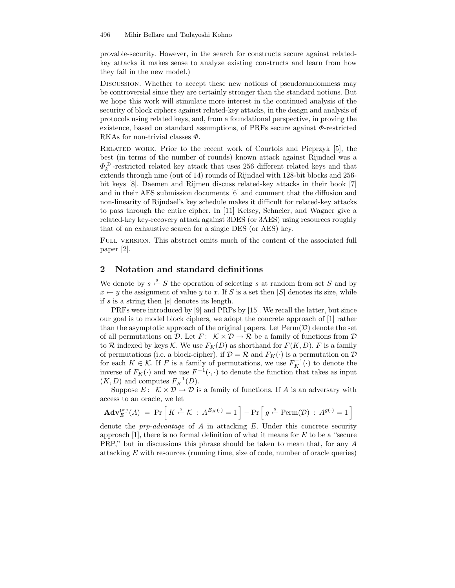provable-security. However, in the search for constructs secure against relatedkey attacks it makes sense to analyze existing constructs and learn from how they fail in the new model.)

Discussion. Whether to accept these new notions of pseudorandomness may be controversial since they are certainly stronger than the standard notions. But we hope this work will stimulate more interest in the continued analysis of the security of block ciphers against related-key attacks, in the design and analysis of protocols using related keys, and, from a foundational perspective, in proving the existence, based on standard assumptions, of PRFs secure against  $\Phi$ -restricted RKAs for non-trivial classes  $\Phi$ .

Related work. Prior to the recent work of Courtois and Pieprzyk [5], the best (in terms of the number of rounds) known attack against Rijndael was a  $\varPhi_k^{\,\oplus}$  -restricted related key attack that uses 256 different related keys and that extends through nine (out of 14) rounds of Rijndael with 128-bit blocks and 256 bit keys [8]. Daemen and Rijmen discuss related-key attacks in their book [7] and in their AES submission documents [6] and comment that the diffusion and non-linearity of Rijndael's key schedule makes it difficult for related-key attacks to pass through the entire cipher. In [11] Kelsey, Schneier, and Wagner give a related-key key-recovery attack against 3DES (or 3AES) using resources roughly that of an exhaustive search for a single DES (or AES) key.

FULL VERSION. This abstract omits much of the content of the associated full paper [2].

# 2 Notation and standard definitions

We denote by  $s \stackrel{\$}{\leftarrow} S$  the operation of selecting s at random from set S and by  $x \leftarrow y$  the assignment of value y to x. If S is a set then |S| denotes its size, while if s is a string then  $|s|$  denotes its length.

PRFs were introduced by [9] and PRPs by [15]. We recall the latter, but since our goal is to model block ciphers, we adopt the concrete approach of [1] rather than the asymptotic approach of the original papers. Let  $\text{Perm}(\mathcal{D})$  denote the set of all permutations on D. Let  $F: \ K \times \mathcal{D} \to \mathcal{R}$  be a family of functions from D to R indexed by keys K. We use  $F_K(D)$  as shorthand for  $F(K, D)$ . F is a family of permutations (i.e. a block-cipher), if  $\mathcal{D} = \mathcal{R}$  and  $F_K(\cdot)$  is a permutation on  $\mathcal{D}$ for each  $K \in \mathcal{K}$ . If F is a family of permutations, we use  $F_K^{-1}(\cdot)$  to denote the inverse of  $F_K(\cdot)$  and we use  $F^{-1}(\cdot, \cdot)$  to denote the function that takes as input  $(K, D)$  and computes  $F_K^{-1}(D)$ .

Suppose  $E: \mathcal{K} \times \mathcal{D} \to \mathcal{D}$  is a family of functions. If A is an adversary with access to an oracle, we let

$$
\mathbf{Adv}_{E}^{\text{prp}}(A) = \Pr\left[K \stackrel{\$}{\leftarrow} \mathcal{K} : A^{E_{K}(\cdot)} = 1\right] - \Pr\left[g \stackrel{\$}{\leftarrow} \text{Perm}(\mathcal{D}) : A^{g(\cdot)} = 1\right]
$$

denote the *prp-advantage* of  $\vec{A}$  in attacking  $\vec{E}$ . Under this concrete security approach  $[1]$ , there is no formal definition of what it means for E to be a "secure PRP," but in discussions this phrase should be taken to mean that, for any A attacking E with resources (running time, size of code, number of oracle queries)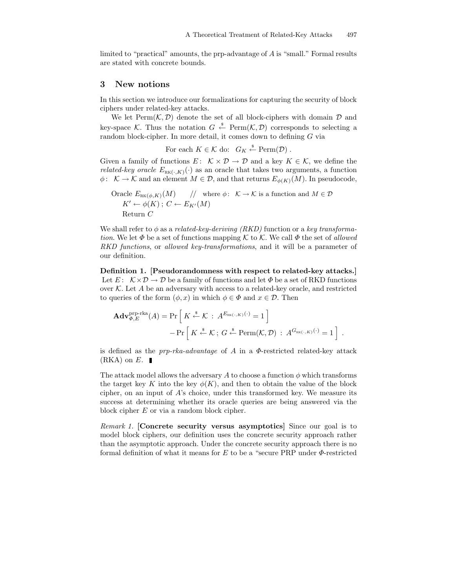limited to "practical" amounts, the prp-advantage of A is "small." Formal results are stated with concrete bounds.

#### 3 New notions

In this section we introduce our formalizations for capturing the security of block ciphers under related-key attacks.

We let  $\text{Perm}(\mathcal{K}, \mathcal{D})$  denote the set of all block-ciphers with domain  $\mathcal D$  and key-space K. Thus the notation  $G \stackrel{\text{*}}{\leftarrow} \text{Perm}(\mathcal{K}, \mathcal{D})$  corresponds to selecting a random block-cipher. In more detail, it comes down to defining G via

For each 
$$
K \in \mathcal{K}
$$
 do:  $G_K \xleftarrow{\$} \text{Perm}(\mathcal{D})$ .

Given a family of functions  $E: \mathcal{K} \times \mathcal{D} \to \mathcal{D}$  and a key  $K \in \mathcal{K}$ , we define the *related-key oracle*  $E_{\text{RK}(\cdot,K)}(\cdot)$  as an oracle that takes two arguments, a function  $\phi: \mathcal{K} \to \mathcal{K}$  and an element  $M \in \mathcal{D}$ , and that returns  $E_{\phi(K)}(M)$ . In pseudocode,

Oracle 
$$
E_{\text{RK}(\phi,K)}(M)
$$
 // where  $\phi: K \to K$  is a function and  $M \in \mathcal{D}$   
\n $K' \leftarrow \phi(K); C \leftarrow E_{K'}(M)$   
\nReturn C

We shall refer to  $\phi$  as a related-key-deriving (RKD) function or a key transformation. We let  $\Phi$  be a set of functions mapping K to K. We call  $\Phi$  the set of allowed RKD functions, or allowed key-transformations, and it will be a parameter of our definition.

Definition 1. [Pseudorandomness with respect to related-key attacks.] Let  $E: \mathcal{K} \times \mathcal{D} \to \mathcal{D}$  be a family of functions and let  $\Phi$  be a set of RKD functions over  $K$ . Let  $A$  be an adversary with access to a related-key oracle, and restricted to queries of the form  $(\phi, x)$  in which  $\phi \in \Phi$  and  $x \in \mathcal{D}$ . Then

$$
\mathbf{Adv}_{\Phi,E}^{\text{pp-rka}}(A) = \Pr\left[K \stackrel{\$}{\leftarrow} \mathcal{K} : A^{E_{\text{RK}(\cdot,K)}(\cdot)} = 1\right] - \Pr\left[K \stackrel{\$}{\leftarrow} \mathcal{K}; G \stackrel{\$}{\leftarrow} \text{Perm}(\mathcal{K}, \mathcal{D}) : A^{G_{\text{RK}(\cdot,K)}(\cdot)} = 1\right]\right].
$$

is defined as the  $prp-rka-advantage$  of A in a  $\Phi$ -restricted related-key attack  $(RKA)$  on E.

The attack model allows the adversary A to choose a function  $\phi$  which transforms the target key K into the key  $\phi(K)$ , and then to obtain the value of the block cipher, on an input of  $A$ 's choice, under this transformed key. We measure its success at determining whether its oracle queries are being answered via the block cipher E or via a random block cipher.

Remark 1. [Concrete security versus asymptotics] Since our goal is to model block ciphers, our definition uses the concrete security approach rather than the asymptotic approach. Under the concrete security approach there is no formal definition of what it means for  $E$  to be a "secure PRP under  $\Phi$ -restricted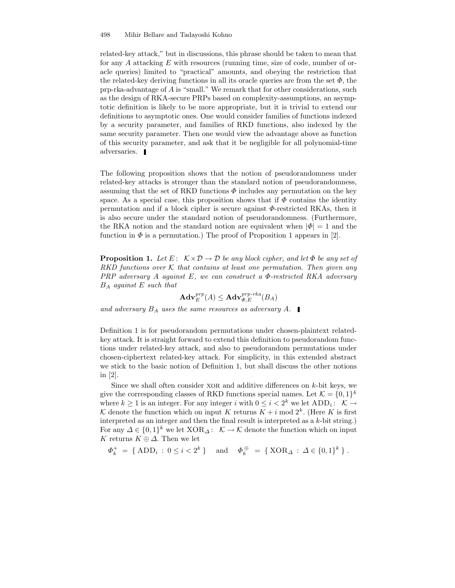498 Mihir Bellare and Tadayoshi Kohno

related-key attack," but in discussions, this phrase should be taken to mean that for any  $A$  attacking  $E$  with resources (running time, size of code, number of oracle queries) limited to "practical" amounts, and obeying the restriction that the related-key deriving functions in all its oracle queries are from the set  $\Phi$ , the prp-rka-advantage of A is "small." We remark that for other considerations, such as the design of RKA-secure PRPs based on complexity-assumptions, an asymptotic definition is likely to be more appropriate, but it is trivial to extend our definitions to asymptotic ones. One would consider families of functions indexed by a security parameter, and families of RKD functions, also indexed by the same security parameter. Then one would view the advantage above as function of this security parameter, and ask that it be negligible for all polynomial-time adversaries.

The following proposition shows that the notion of pseudorandomness under related-key attacks is stronger than the standard notion of pseudorandomness, assuming that the set of RKD functions  $\Phi$  includes any permutation on the key space. As a special case, this proposition shows that if  $\Phi$  contains the identity permutation and if a block cipher is secure against Φ-restricted RKAs, then it is also secure under the standard notion of pseudorandomness. (Furthermore, the RKA notion and the standard notion are equivalent when  $|\Phi|=1$  and the function in  $\Phi$  is a permutation.) The proof of Proposition 1 appears in [2].

**Proposition 1.** Let E:  $K \times D \rightarrow D$  be any block cipher, and let  $\Phi$  be any set of RKD functions over K that contains at least one permutation. Then given any PRP adversary  $A$  against  $E$ , we can construct a  $\Phi$ -restricted RKA adversary  $B_A$  against E such that

$$
\mathbf{Adv}^{prp}_{E}(A)\leq \mathbf{Adv}^{prp\text{-}rka}_{\Phi,E}(B_A)
$$

and adversary  $B_A$  uses the same resources as adversary A.

Definition 1 is for pseudorandom permutations under chosen-plaintext relatedkey attack. It is straight forward to extend this definition to pseudorandom functions under related-key attack, and also to pseudorandom permutations under chosen-ciphertext related-key attack. For simplicity, in this extended abstract we stick to the basic notion of Definition 1, but shall discuss the other notions in [2].

Since we shall often consider  $XOR$  and additive differences on  $k$ -bit keys, we give the corresponding classes of RKD functions special names. Let  $\mathcal{K} = \{0, 1\}^k$ where  $k \geq 1$  is an integer. For any integer i with  $0 \leq i < 2^k$  we let  $ADD_i:$  K  $\rightarrow$ K denote the function which on input K returns  $K + i \mod 2^k$ . (Here K is first interpreted as an integer and then the final result is interpreted as a  $k$ -bit string.) For any  $\Delta \in \{0,1\}^k$  we let  $XOR_{\Delta}$ :  $\mathcal{K} \to \mathcal{K}$  denote the function which on input K returns  $K \oplus \Delta$ . Then we let

$$
\Phi_k^+ = \{ \text{ADD}_i : 0 \le i < 2^k \} \quad \text{and} \quad \Phi_k^{\oplus} = \{ \text{XOR}_{\Delta} : \Delta \in \{0, 1\}^k \} \,.
$$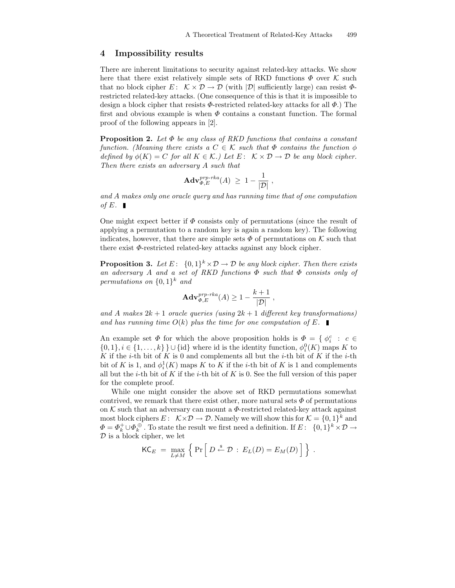### 4 Impossibility results

There are inherent limitations to security against related-key attacks. We show here that there exist relatively simple sets of RKD functions  $\Phi$  over K such that no block cipher  $E: \mathcal{K} \times \mathcal{D} \to \mathcal{D}$  (with  $|\mathcal{D}|$  sufficiently large) can resist  $\Phi$ restricted related-key attacks. (One consequence of this is that it is impossible to design a block cipher that resists  $\Phi$ -restricted related-key attacks for all  $\Phi$ .) The first and obvious example is when  $\Phi$  contains a constant function. The formal proof of the following appears in [2].

**Proposition 2.** Let  $\Phi$  be any class of RKD functions that contains a constant function. (Meaning there exists a  $C \in \mathcal{K}$  such that  $\Phi$  contains the function  $\phi$ defined by  $\phi(K) = C$  for all  $K \in \mathcal{K}$ .) Let  $E: \mathcal{K} \times \mathcal{D} \to \mathcal{D}$  be any block cipher. Then there exists an adversary A such that

$$
\mathbf{Adv}_{\Phi,E}^{prp\text{-}rka}(A) \ \geq \ 1 - \frac{1}{|\mathcal{D}|} \ ,
$$

and A makes only one oracle query and has running time that of one computation of E.

One might expect better if  $\Phi$  consists only of permutations (since the result of applying a permutation to a random key is again a random key). The following indicates, however, that there are simple sets  $\Phi$  of permutations on K such that there exist  $\Phi$ -restricted related-key attacks against any block cipher.

**Proposition 3.** Let  $E: \{0,1\}^k \times \mathcal{D} \to \mathcal{D}$  be any block cipher. Then there exists an adversary A and a set of RKD functions  $\Phi$  such that  $\Phi$  consists only of permutations on  $\{0,1\}^k$  and

$$
\mathbf{Adv}_{\Phi,E}^{prp\text{-}rka}(A) \ge 1 - \frac{k+1}{|\mathcal{D}|},
$$

and A makes  $2k+1$  oracle queries (using  $2k+1$  different key transformations) and has running time  $O(k)$  plus the time for one computation of E.

An example set  $\Phi$  for which the above proposition holds is  $\Phi = \{ \phi_i^c : c \in$  $\{0,1\}, i \in \{1,\ldots,k\}$  U  $\{\mathrm{id}\}$  where id is the identity function,  $\phi_i^0(K)$  maps K to K if the *i*-th bit of K is 0 and complements all but the *i*-th bit of K if the *i*-th bit of K is 1, and  $\phi_i^1(K)$  maps K to K if the *i*-th bit of K is 1 and complements all but the *i*-th bit of K if the *i*-th bit of K is 0. See the full version of this paper for the complete proof.

While one might consider the above set of RKD permutations somewhat contrived, we remark that there exist other, more natural sets  $\Phi$  of permutations on  $K$  such that an adversary can mount a  $\Phi$ -restricted related-key attack against most block ciphers  $E: \mathcal{K} \times \mathcal{D} \to \mathcal{D}$ . Namely we will show this for  $\mathcal{K} = \{0,1\}^k$  and  $\Phi = \Phi_k^+ \cup \Phi_k^{\oplus}$ . To state the result we first need a definition. If  $E: \ \{0,1\}^k \times \mathcal{D} \to$  $D$  is a block cipher, we let

$$
\mathsf{KC}_E = \max_{L \neq M} \left\{ \Pr \left[ D \stackrel{\$}{\leftarrow} \mathcal{D} : E_L(D) = E_M(D) \right] \right\} .
$$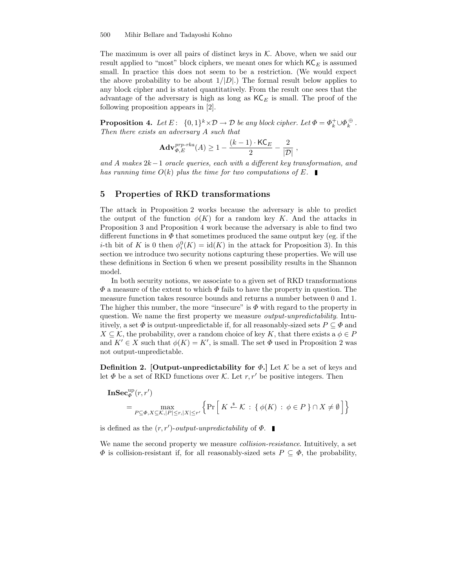The maximum is over all pairs of distinct keys in  $K$ . Above, when we said our result applied to "most" block ciphers, we meant ones for which  $\mathsf{KC}_E$  is assumed small. In practice this does not seem to be a restriction. (We would expect the above probability to be about  $1/|D|$ .) The formal result below applies to any block cipher and is stated quantitatively. From the result one sees that the advantage of the adversary is high as long as  $\mathsf{KC}_E$  is small. The proof of the following proposition appears in [2].

**Proposition 4.** Let  $E: \{0,1\}^k \times \mathcal{D} \to \mathcal{D}$  be any block cipher. Let  $\Phi = \Phi_k^+ \cup \Phi_k^+$ . Then there exists an adversary A such that

$$
\mathbf{Adv}_{\Phi,E}^{prp\text{-}rka}(A) \ge 1 - \frac{(k-1)\cdot \mathsf{KC}_E}{2} - \frac{2}{|\mathcal{D}|},
$$

and A makes 2k−1 oracle queries, each with a different key transformation, and has running time  $O(k)$  plus the time for two computations of E.

### 5 Properties of RKD transformations

The attack in Proposition 2 works because the adversary is able to predict the output of the function  $\phi(K)$  for a random key K. And the attacks in Proposition 3 and Proposition 4 work because the adversary is able to find two different functions in  $\Phi$  that sometimes produced the same output key (eg. if the *i*-th bit of K is 0 then  $\phi_i^0(K) = \text{id}(K)$  in the attack for Proposition 3). In this section we introduce two security notions capturing these properties. We will use these definitions in Section 6 when we present possibility results in the Shannon model.

In both security notions, we associate to a given set of RKD transformations  $\Phi$  a measure of the extent to which  $\Phi$  fails to have the property in question. The measure function takes resource bounds and returns a number between 0 and 1. The higher this number, the more "insecure" is  $\Phi$  with regard to the property in question. We name the first property we measure *output-unpredictability*. Intuitively, a set  $\Phi$  is output-unpredictable if, for all reasonably-sized sets  $P \subseteq \Phi$  and  $X \subseteq \mathcal{K}$ , the probability, over a random choice of key K, that there exists a  $\phi \in P$ and  $K' \in X$  such that  $\phi(K) = K'$ , is small. The set  $\Phi$  used in Proposition 2 was not output-unpredictable.

**Definition 2. [Output-unpredictability for**  $\Phi$ **.]** Let K be a set of keys and let  $\Phi$  be a set of RKD functions over K. Let  $r, r'$  be positive integers. Then

$$
\mathbf{InSec}_{\Phi}^{\text{up}}(r,r')
$$
  
= 
$$
\max_{P \subseteq \Phi, X \subseteq \mathcal{K}, |P| \le r, |X| \le r'} \left\{ \Pr \left[ K \stackrel{\$}{\leftarrow} \mathcal{K} : \{ \phi(K) : \phi \in P \} \cap X \neq \emptyset \right] \right\}
$$

is defined as the  $(r, r')$ -output-unpredictability of  $\Phi$ .

We name the second property we measure *collision-resistance*. Intuitively, a set  $\Phi$  is collision-resistant if, for all reasonably-sized sets  $P \subseteq \Phi$ , the probability,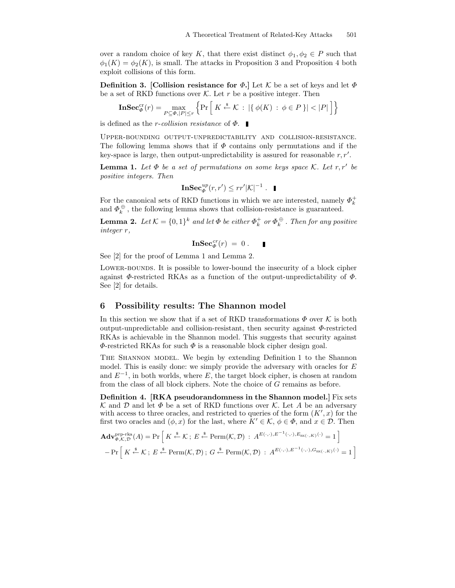over a random choice of key K, that there exist distinct  $\phi_1, \phi_2 \in P$  such that  $\phi_1(K) = \phi_2(K)$ , is small. The attacks in Proposition 3 and Proposition 4 both exploit collisions of this form.

**Definition 3.** [Collision resistance for  $\Phi$ .] Let K be a set of keys and let  $\Phi$ be a set of RKD functions over  $K$ . Let r be a positive integer. Then

$$
\mathbf{InSec}_{\Phi}^{\mathrm{cr}}(r) = \max_{P \subseteq \Phi, |P| \le r} \left\{ \Pr\left[ K \stackrel{\$}{\leftarrow} \mathcal{K} : |\{\phi(K) : \phi \in P\} | < |P| \right] \right\}
$$

is defined as the *r*-collision resistance of  $\Phi$ .

Upper-bounding output-unpredictability and collision-resistance. The following lemma shows that if  $\Phi$  contains only permutations and if the key-space is large, then output-unpredictability is assured for reasonable  $r, r'$ .

**Lemma 1.** Let  $\Phi$  be a set of permutations on some keys space  $\mathcal{K}$ . Let  $r, r'$  be positive integers. Then

$$
\mathbf{InSec}_{\Phi}^{up}(r,r')\leq rr'|\mathcal{K}|^{-1}.\quad \blacksquare
$$

For the canonical sets of RKD functions in which we are interested, namely  $\varPhi_k^+$ and  $\varPhi_k^{\,\oplus}$  , the following lemma shows that collision-resistance is guaranteed.

**Lemma 2.** Let  $\mathcal{K} = \{0,1\}^k$  and let  $\Phi$  be either  $\Phi_k^+$  or  $\Phi_k^{\oplus}$  . Then for any positive integer r,

$$
\mathbf{InSec}^{cr}_{\varPhi}(r)\;=\;0\;.
$$

See [2] for the proof of Lemma 1 and Lemma 2.

LOWER-BOUNDS. It is possible to lower-bound the insecurity of a block cipher against  $\Phi$ -restricted RKAs as a function of the output-unpredictability of  $\Phi$ . See [2] for details.

#### 6 Possibility results: The Shannon model

In this section we show that if a set of RKD transformations  $\Phi$  over K is both output-unpredictable and collision-resistant, then security against  $\Phi$ -restricted RKAs is achievable in the Shannon model. This suggests that security against  $\Phi$ -restricted RKAs for such  $\Phi$  is a reasonable block cipher design goal.

The Shannon model. We begin by extending Definition 1 to the Shannon model. This is easily done: we simply provide the adversary with oracles for  $E$ and  $E^{-1}$ , in both worlds, where E, the target block cipher, is chosen at random from the class of all block ciphers. Note the choice of G remains as before.

Definition 4. [RKA pseudorandomness in the Shannon model.] Fix sets K and D and let  $\Phi$  be a set of RKD functions over K. Let A be an adversary with access to three oracles, and restricted to queries of the form  $(K',x)$  for the first two oracles and  $(\phi, x)$  for the last, where  $K' \in \mathcal{K}, \phi \in \Phi$ , and  $x \in \mathcal{D}$ . Then

$$
\mathbf{Adv}_{\Phi,\mathcal{K},\mathcal{D}}^{\text{prp-rka}}(A) = \Pr\left[K \stackrel{\$}{\leftarrow} \mathcal{K}; E \stackrel{\$}{\leftarrow} \text{Perm}(\mathcal{K},\mathcal{D}) : A^{E(\cdot,\cdot),E^{-1}(\cdot,\cdot),E_{\text{RK}(\cdot,K)}(\cdot)} = 1\right]\n- \Pr\left[K \stackrel{\$}{\leftarrow} \mathcal{K}; E \stackrel{\$}{\leftarrow} \text{Perm}(\mathcal{K},\mathcal{D}); G \stackrel{\$}{\leftarrow} \text{Perm}(\mathcal{K},\mathcal{D}) : A^{E(\cdot,\cdot),E^{-1}(\cdot,\cdot),G_{\text{RK}(\cdot,K)}(\cdot)} = 1\right]
$$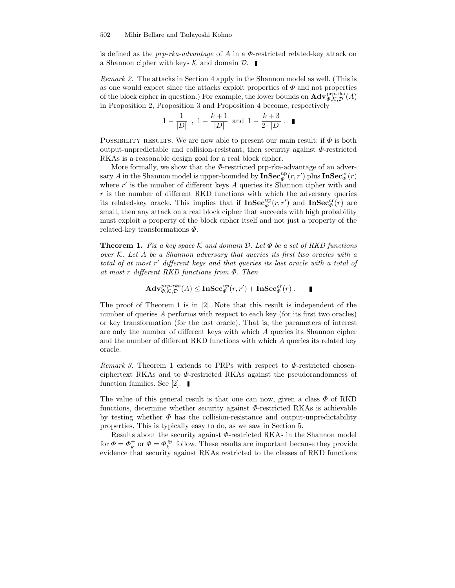is defined as the  $prp-rka-advantage$  of A in a  $\Phi$ -restricted related-key attack on a Shannon cipher with keys  $\mathcal K$  and domain  $\mathcal D$ .

Remark 2. The attacks in Section 4 apply in the Shannon model as well. (This is as one would expect since the attacks exploit properties of  $\Phi$  and not properties of the block cipher in question.) For example, the lower bounds on  $\mathbf{Adv}_{\Phi,\mathcal{K},\mathcal{D}}^{\text{prp-rka}}(A)$ in Proposition 2, Proposition 3 and Proposition 4 become, respectively

$$
1 - \frac{1}{|D|}
$$
,  $1 - \frac{k+1}{|D|}$  and  $1 - \frac{k+3}{2 \cdot |D|}$ .

POSSIBILITY RESULTS. We are now able to present our main result: if  $\Phi$  is both output-unpredictable and collision-resistant, then security against Φ-restricted RKAs is a reasonable design goal for a real block cipher.

More formally, we show that the  $\Phi$ -restricted prp-rka-advantage of an adversary A in the Shannon model is upper-bounded by  $\mathbf{InSec}_\varPhi^{\mathrm{up}}(r,r')$  plus  $\mathbf{InSec}_\varPhi^{\mathrm{cr}}(r)$ where  $r'$  is the number of different keys  $A$  queries its Shannon cipher with and  $r$  is the number of different RKD functions with which the adversary queries its related-key oracle. This implies that if  $\mathbf{InSec}_{\Phi}^{\text{up}}(r,r')$  and  $\mathbf{InSec}_{\Phi}^{\text{cr}}(r)$  are small, then any attack on a real block cipher that succeeds with high probability must exploit a property of the block cipher itself and not just a property of the related-key transformations  $\Phi$ .

**Theorem 1.** Fix a key space K and domain D. Let  $\Phi$  be a set of RKD functions over  $K$ . Let A be a Shannon adversary that queries its first two oracles with a total of at most r' different keys and that queries its last oracle with a total of at most r different RKD functions from Φ. Then

$$
\mathbf{Adv}_{\Phi,\mathcal{K},\mathcal{D}}^{prp\text{-}rka}(A)\leq \mathbf{InSec}_\Phi^{up}(r,r')+\mathbf{InSec}_\Phi^{cr}(r)\ .
$$

Ī

The proof of Theorem 1 is in [2]. Note that this result is independent of the number of queries A performs with respect to each key (for its first two oracles) or key transformation (for the last oracle). That is, the parameters of interest are only the number of different keys with which A queries its Shannon cipher and the number of different RKD functions with which A queries its related key oracle.

*Remark 3.* Theorem 1 extends to PRPs with respect to  $\Phi$ -restricted chosenciphertext RKAs and to Φ-restricted RKAs against the pseudorandomness of function families. See [2].  $\blacksquare$ 

The value of this general result is that one can now, given a class  $\Phi$  of RKD functions, determine whether security against Φ-restricted RKAs is achievable by testing whether  $\Phi$  has the collision-resistance and output-unpredictability properties. This is typically easy to do, as we saw in Section 5.

Results about the security against  $\varPhi\text{-restricted RKAs}$  in the Shannon model for  $\Phi = \Phi_k^+$  or  $\Phi = \Phi_k^+$  follow. These results are important because they provide evidence that security against RKAs restricted to the classes of RKD functions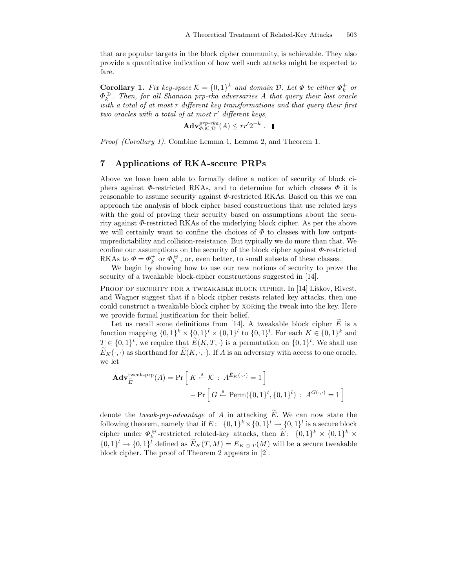that are popular targets in the block cipher community, is achievable. They also provide a quantitative indication of how well such attacks might be expected to fare.

**Corollary 1.** Fix key-space  $\mathcal{K} = \{0,1\}^k$  and domain  $\mathcal{D}$ . Let  $\Phi$  be either  $\Phi_k^+$  or  $\Phi_k^{\,\oplus}$  . Then, for all Shannon prp-rka adversaries A that query their last oracle with a total of at most r different key transformations and that query their first two oracles with a total of at most  $r'$  different keys,

$$
\mathbf{Adv}_{\Phi,\mathcal{K},\mathcal{D}}^{prp\text{-}rka}(A) \leq rr'2^{-k} . \quad \blacksquare
$$

Proof (Corollary 1). Combine Lemma 1, Lemma 2, and Theorem 1.

# 7 Applications of RKA-secure PRPs

Above we have been able to formally define a notion of security of block ciphers against  $\Phi$ -restricted RKAs, and to determine for which classes  $\Phi$  it is reasonable to assume security against  $\Phi$ -restricted RKAs. Based on this we can approach the analysis of block cipher based constructions that use related keys with the goal of proving their security based on assumptions about the security against Φ-restricted RKAs of the underlying block cipher. As per the above we will certainly want to confine the choices of  $\Phi$  to classes with low outputunpredictability and collision-resistance. But typically we do more than that. We confine our assumptions on the security of the block cipher against  $\Phi$ -restricted RKAs to  $\Phi = \Phi_k^+$  or  $\Phi_k^{\oplus}$ , or, even better, to small subsets of these classes.

We begin by showing how to use our new notions of security to prove the security of a tweakable block-cipher constructions suggested in [14].

PROOF OF SECURITY FOR A TWEAKABLE BLOCK CIPHER. In [14] Liskov, Rivest, and Wagner suggest that if a block cipher resists related key attacks, then one could construct a tweakable block cipher by xoring the tweak into the key. Here we provide formal justification for their belief.

Let us recall some definitions from [14]. A tweakable block cipher  $\tilde{E}$  is a function mapping  $\{0,1\}^k \times \{0,1\}^t \times \{0,1\}^l$  to  $\{0,1\}^l$ . For each  $K \in \{0,1\}^k$  and  $T \in \{0,1\}^t$ , we require that  $E(K,T,\cdot)$  is a permutation on  $\{0,1\}^l$ . We shall use  $\widetilde{E}_K(\cdot,\cdot)$  as shorthand for  $\widetilde{E}(K,\cdot,\cdot)$ . If A is an adversary with access to one oracle, we let

$$
\mathbf{Adv}_{\widetilde{E}}^{\text{tweak-prp}}(A) = \Pr\left[K \stackrel{\$}{\leftarrow} \mathcal{K} : A^{\widetilde{E}_K(\cdot, \cdot)} = 1\right] - \Pr\left[G \stackrel{\$}{\leftarrow} \text{Perm}(\{0, 1\}^t, \{0, 1\}^l) : A^{G(\cdot, \cdot)} = 1\right]
$$

denote the *tweak-prp-advantage* of A in attacking  $\widetilde{E}$ . We can now state the following theorem, namely that if  $E: \{0,1\}^k \times \{0,1\}^l \to \{0,1\}^l$  is a secure block cipher under  $\Phi_k^{\oplus}$ -restricted related-key attacks, then  $\widetilde{E}$ :  $\{0,1\}^k \times \{0,1\}^k \times$  $\{0,1\}^l \to \{0,1\}^l$  defined as  $E_K(T,M) = E_{K \oplus T}(M)$  will be a secure tweakable block cipher. The proof of Theorem 2 appears in [2].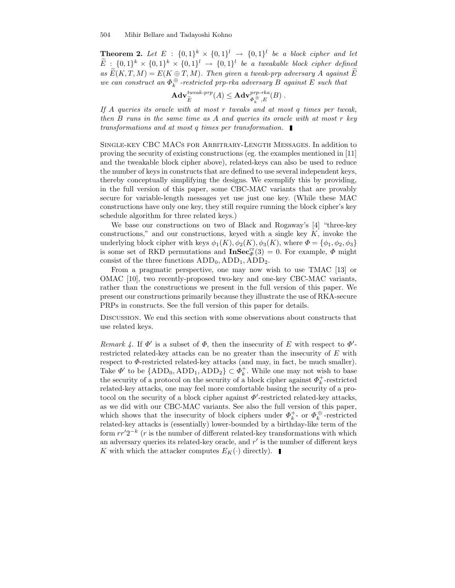**Theorem 2.** Let  $E : \{0,1\}^k \times \{0,1\}^l \rightarrow \{0,1\}^l$  be a block cipher and let  $E: \{0,1\}^k \times \{0,1\}^k \times \{0,1\}^l \rightarrow \{0,1\}^l$  be a tweakable block cipher defined as  $\widetilde{E}(K,T,M) = E(K \oplus T,M)$ . Then given a tweak-prp adversary A against  $\widetilde{E}$ we can construct an  $\Phi_k^{\oplus}$  -restricted prp-rka adversary B against E such that

$$
\mathbf{Adv}_{\widetilde{E}}^{\mathit{tweak-prp}}(A) \leq \mathbf{Adv}_{\Phi_k^{\oplus},E}^{\mathit{prp-rka}}(B) .
$$

If A queries its oracle with at most  $r$  tweaks and at most  $q$  times per tweak, then  $B$  runs in the same time as  $A$  and queries its oracle with at most  $r$  key transformations and at most q times per transformation.

Single-key CBC MACs for Arbitrary-Length Messages. In addition to proving the security of existing constructions (eg. the examples mentioned in [11] and the tweakable block cipher above), related-keys can also be used to reduce the number of keys in constructs that are defined to use several independent keys, thereby conceptually simplifying the designs. We exemplify this by providing, in the full version of this paper, some CBC-MAC variants that are provably secure for variable-length messages yet use just one key. (While these MAC constructions have only one key, they still require running the block cipher's key schedule algorithm for three related keys.)

We base our constructions on two of Black and Rogaway's [4] "three-key constructions," and our constructions, keyed with a single key  $K$ , invoke the underlying block cipher with keys  $\phi_1(K)$ ,  $\phi_2(K)$ ,  $\phi_3(K)$ , where  $\Phi = {\phi_1, \phi_2, \phi_3}$ is some set of RKD permutations and  $\text{InSec}_{\Phi}^{\text{cr}}(3) = 0$ . For example,  $\Phi$  might consist of the three functions  $ADD_0, ADD_1, ADD_2$ .

From a pragmatic perspective, one may now wish to use TMAC [13] or OMAC [10], two recently-proposed two-key and one-key CBC-MAC variants, rather than the constructions we present in the full version of this paper. We present our constructions primarily because they illustrate the use of RKA-secure PRPs in constructs. See the full version of this paper for details.

Discussion. We end this section with some observations about constructs that use related keys.

Remark 4. If  $\Phi'$  is a subset of  $\Phi$ , then the insecurity of E with respect to  $\Phi'$ restricted related-key attacks can be no greater than the insecurity of E with respect to  $\Phi$ -restricted related-key attacks (and may, in fact, be much smaller). Take  $\Phi'$  to be  $\{ADD_0, ADD_1, ADD_2\} \subset \Phi_k^+$ . While one may not wish to base the security of a protocol on the security of a block cipher against  $\Phi_k^+$ -restricted related-key attacks, one may feel more comfortable basing the security of a protocol on the security of a block cipher against  $\Phi'$ -restricted related-key attacks, as we did with our CBC-MAC variants. See also the full version of this paper, which shows that the insecurity of block ciphers under  $\Phi_k^+$ - or  $\Phi_k^+$ -restricted related-key attacks is (essentially) lower-bounded by a birthday-like term of the form  $rr'2^{-k}$  (*r* is the number of different related-key transformations with which an adversary queries its related-key oracle, and  $r'$  is the number of different keys K with which the attacker computes  $E_K(\cdot)$  directly).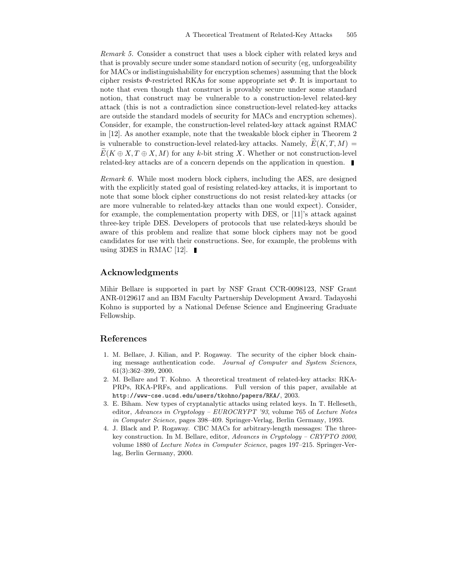Remark 5. Consider a construct that uses a block cipher with related keys and that is provably secure under some standard notion of security (eg, unforgeability for MACs or indistinguishability for encryption schemes) assuming that the block cipher resists  $\Phi$ -restricted RKAs for some appropriate set  $\Phi$ . It is important to note that even though that construct is provably secure under some standard notion, that construct may be vulnerable to a construction-level related-key attack (this is not a contradiction since construction-level related-key attacks are outside the standard models of security for MACs and encryption schemes). Consider, for example, the construction-level related-key attack against RMAC in [12]. As another example, note that the tweakable block cipher in Theorem 2 is vulnerable to construction-level related-key attacks. Namely,  $E(K, T, M) =$  $E(K \oplus X, T \oplus X, M)$  for any k-bit string X. Whether or not construction-level related-key attacks are of a concern depends on the application in question.

Remark 6. While most modern block ciphers, including the AES, are designed with the explicitly stated goal of resisting related-key attacks, it is important to note that some block cipher constructions do not resist related-key attacks (or are more vulnerable to related-key attacks than one would expect). Consider, for example, the complementation property with DES, or [11]'s attack against three-key triple DES. Developers of protocols that use related-keys should be aware of this problem and realize that some block ciphers may not be good candidates for use with their constructions. See, for example, the problems with using 3DES in RMAC [12].  $\blacksquare$ 

# Acknowledgments

Mihir Bellare is supported in part by NSF Grant CCR-0098123, NSF Grant ANR-0129617 and an IBM Faculty Partnership Development Award. Tadayoshi Kohno is supported by a National Defense Science and Engineering Graduate Fellowship.

# References

- 1. M. Bellare, J. Kilian, and P. Rogaway. The security of the cipher block chaining message authentication code. Journal of Computer and System Sciences, 61(3):362–399, 2000.
- 2. M. Bellare and T. Kohno. A theoretical treatment of related-key attacks: RKA-PRPs, RKA-PRFs, and applications. Full version of this paper, available at http://www-cse.ucsd.edu/users/tkohno/papers/RKA/, 2003.
- 3. E. Biham. New types of cryptanalytic attacks using related keys. In T. Helleseth, editor, Advances in Cryptology – EUROCRYPT '93, volume 765 of Lecture Notes in Computer Science, pages 398–409. Springer-Verlag, Berlin Germany, 1993.
- 4. J. Black and P. Rogaway. CBC MACs for arbitrary-length messages: The threekey construction. In M. Bellare, editor, Advances in Cryptology – CRYPTO 2000, volume 1880 of Lecture Notes in Computer Science, pages 197–215. Springer-Verlag, Berlin Germany, 2000.